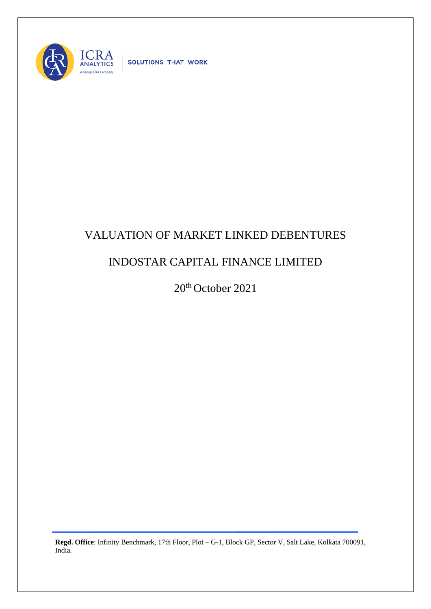

SOLUTIONS THAT WORK

## VALUATION OF MARKET LINKED DEBENTURES

## INDOSTAR CAPITAL FINANCE LIMITED

20<sup>th</sup> October 2021

**Regd. Office**: Infinity Benchmark, 17th Floor, Plot – G-1, Block GP, Sector V, Salt Lake, Kolkata 700091, India.